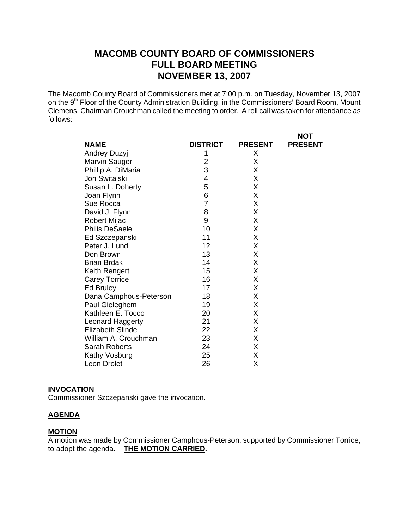# **MACOMB COUNTY BOARD OF COMMISSIONERS FULL BOARD MEETING NOVEMBER 13, 2007**

The Macomb County Board of Commissioners met at 7:00 p.m. on Tuesday, November 13, 2007 on the 9<sup>th</sup> Floor of the County Administration Building, in the Commissioners' Board Room, Mount Clemens. Chairman Crouchman called the meeting to order. A roll call was taken for attendance as follows:

**NOT** 

|                         |                 |                | ו שו           |
|-------------------------|-----------------|----------------|----------------|
| <b>NAME</b>             | <b>DISTRICT</b> | <b>PRESENT</b> | <b>PRESENT</b> |
| Andrey Duzyj            | 1               | Χ              |                |
| Marvin Sauger           | 2               | X              |                |
| Phillip A. DiMaria      | 3               | X              |                |
| Jon Switalski           | 4               | X              |                |
| Susan L. Doherty        | 5               | Χ              |                |
| Joan Flynn              | 6               | Χ              |                |
| Sue Rocca               | $\overline{7}$  | Χ              |                |
| David J. Flynn          | 8               | X              |                |
| Robert Mijac            | 9               | X              |                |
| <b>Philis DeSaele</b>   | 10              | Χ              |                |
| Ed Szczepanski          | 11              | Χ              |                |
| Peter J. Lund           | 12              | Χ              |                |
| Don Brown               | 13              | X              |                |
| <b>Brian Brdak</b>      | 14              | X              |                |
| Keith Rengert           | 15              | Χ              |                |
| <b>Carey Torrice</b>    | 16              | Χ              |                |
| Ed Bruley               | 17              | X              |                |
| Dana Camphous-Peterson  | 18              | X              |                |
| Paul Gieleghem          | 19              | Χ              |                |
| Kathleen E. Tocco       | 20              | Χ              |                |
| Leonard Haggerty        | 21              | Χ              |                |
| <b>Elizabeth Slinde</b> | 22              | Χ              |                |
| William A. Crouchman    | 23              | X              |                |
| Sarah Roberts           | 24              | X              |                |
| Kathy Vosburg           | 25              | Χ              |                |
| Leon Drolet             | 26              | Χ              |                |

#### **INVOCATION**

Commissioner Szczepanski gave the invocation.

#### **AGENDA**

#### **MOTION**

A motion was made by Commissioner Camphous-Peterson, supported by Commissioner Torrice, to adopt the agenda**. THE MOTION CARRIED.**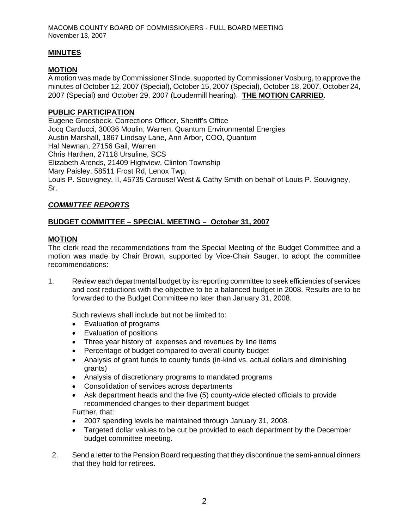# **MINUTES**

# **MOTION**

A motion was made by Commissioner Slinde, supported by Commissioner Vosburg, to approve the minutes of October 12, 2007 (Special), October 15, 2007 (Special), October 18, 2007, October 24, 2007 (Special) and October 29, 2007 (Loudermill hearing). **THE MOTION CARRIED**.

## **PUBLIC PARTICIPATION**

Eugene Groesbeck, Corrections Officer, Sheriff's Office Jocq Carducci, 30036 Moulin, Warren, Quantum Environmental Energies Austin Marshall, 1867 Lindsay Lane, Ann Arbor, COO, Quantum Hal Newnan, 27156 Gail, Warren Chris Harthen, 27118 Ursuline, SCS Elizabeth Arends, 21409 Highview, Clinton Township Mary Paisley, 58511 Frost Rd, Lenox Twp. Louis P. Souvigney, II, 45735 Carousel West & Cathy Smith on behalf of Louis P. Souvigney, Sr.

# *COMMITTEE REPORTS*

# **BUDGET COMMITTEE – SPECIAL MEETING – October 31, 2007**

### **MOTION**

The clerk read the recommendations from the Special Meeting of the Budget Committee and a motion was made by Chair Brown, supported by Vice-Chair Sauger, to adopt the committee recommendations:

1. Review each departmental budget by its reporting committee to seek efficiencies of services and cost reductions with the objective to be a balanced budget in 2008. Results are to be forwarded to the Budget Committee no later than January 31, 2008.

Such reviews shall include but not be limited to:

- Evaluation of programs
- Evaluation of positions
- Three year history of expenses and revenues by line items
- Percentage of budget compared to overall county budget
- Analysis of grant funds to county funds (in-kind vs. actual dollars and diminishing grants)
- Analysis of discretionary programs to mandated programs
- Consolidation of services across departments
- Ask department heads and the five (5) county-wide elected officials to provide recommended changes to their department budget Further, that:
- 2007 spending levels be maintained through January 31, 2008.
- Targeted dollar values to be cut be provided to each department by the December budget committee meeting.
- 2. Send a letter to the Pension Board requesting that they discontinue the semi-annual dinners that they hold for retirees.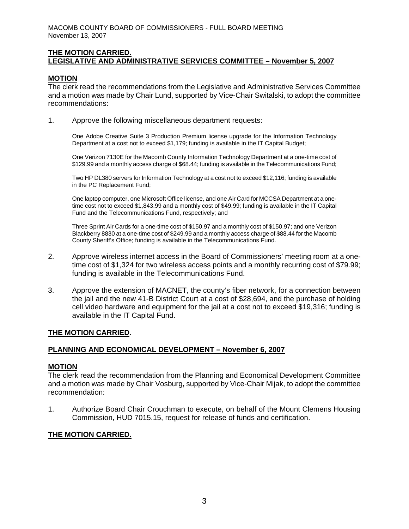### **THE MOTION CARRIED. LEGISLATIVE AND ADMINISTRATIVE SERVICES COMMITTEE – November 5, 2007**

#### **MOTION**

The clerk read the recommendations from the Legislative and Administrative Services Committee and a motion was made by Chair Lund, supported by Vice-Chair Switalski, to adopt the committee recommendations:

1. Approve the following miscellaneous department requests:

One Adobe Creative Suite 3 Production Premium license upgrade for the Information Technology Department at a cost not to exceed \$1,179; funding is available in the IT Capital Budget;

One Verizon 7130E for the Macomb County Information Technology Department at a one-time cost of \$129.99 and a monthly access charge of \$68.44; funding is available in the Telecommunications Fund;

Two HP DL380 servers for Information Technology at a cost not to exceed \$12,116; funding is available in the PC Replacement Fund;

One laptop computer, one Microsoft Office license, and one Air Card for MCCSA Department at a onetime cost not to exceed \$1,843.99 and a monthly cost of \$49.99; funding is available in the IT Capital Fund and the Telecommunications Fund, respectively; and

Three Sprint Air Cards for a one-time cost of \$150.97 and a monthly cost of \$150.97; and one Verizon Blackberry 8830 at a one-time cost of \$249.99 and a monthly access charge of \$88.44 for the Macomb County Sheriff's Office; funding is available in the Telecommunications Fund.

- 2. Approve wireless internet access in the Board of Commissioners' meeting room at a one time cost of \$1,324 for two wireless access points and a monthly recurring cost of \$79.99; funding is available in the Telecommunications Fund.
- 3. Approve the extension of MACNET, the county's fiber network, for a connection between the jail and the new 41-B District Court at a cost of \$28,694, and the purchase of holding cell video hardware and equipment for the jail at a cost not to exceed \$19,316; funding is available in the IT Capital Fund.

#### **THE MOTION CARRIED**.

### **PLANNING AND ECONOMICAL DEVELOPMENT – November 6, 2007**

#### **MOTION**

The clerk read the recommendation from the Planning and Economical Development Committee and a motion was made by Chair Vosburg**,** supported by Vice-Chair Mijak, to adopt the committee recommendation:

1. Authorize Board Chair Crouchman to execute, on behalf of the Mount Clemens Housing Commission, HUD 7015.15, request for release of funds and certification.

### **THE MOTION CARRIED.**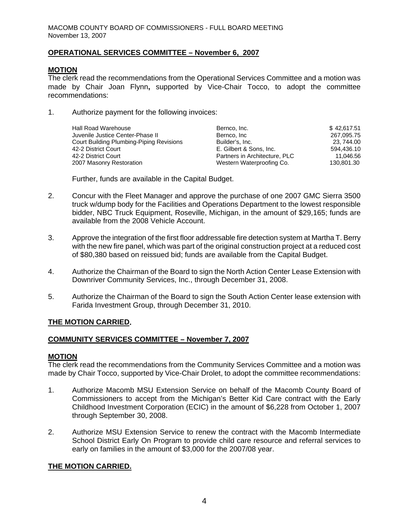### **OPERATIONAL SERVICES COMMITTEE – November 6, 2007**

# **MOTION**

The clerk read the recommendations from the Operational Services Committee and a motion was made by Chair Joan Flynn**,** supported by Vice-Chair Tocco, to adopt the committee recommendations:

1. Authorize payment for the following invoices:

| <b>Hall Road Warehouse</b>               | Bernco, Inc.                  | \$42,617.51 |
|------------------------------------------|-------------------------------|-------------|
| Juvenile Justice Center-Phase II         | Bernco, Inc                   | 267,095.75  |
| Court Building Plumbing-Piping Revisions | Builder's, Inc.               | 23, 744.00  |
| 42-2 District Court                      | E. Gilbert & Sons. Inc.       | 594.436.10  |
| 42-2 District Court                      | Partners in Architecture, PLC | 11.046.56   |
| 2007 Masonry Restoration                 | Western Waterproofing Co.     | 130,801.30  |

Further, funds are available in the Capital Budget.

- 2. Concur with the Fleet Manager and approve the purchase of one 2007 GMC Sierra 3500 truck w/dump body for the Facilities and Operations Department to the lowest responsible bidder, NBC Truck Equipment, Roseville, Michigan, in the amount of \$29,165; funds are available from the 2008 Vehicle Account.
- 3. Approve the integration of the first floor addressable fire detection system at Martha T. Berry with the new fire panel, which was part of the original construction project at a reduced cost of \$80,380 based on reissued bid; funds are available from the Capital Budget.
- 4. Authorize the Chairman of the Board to sign the North Action Center Lease Extension with Downriver Community Services, Inc., through December 31, 2008.
- 5. Authorize the Chairman of the Board to sign the South Action Center lease extension with Farida Investment Group, through December 31, 2010.

### **THE MOTION CARRIED.**

### **COMMUNITY SERVICES COMMITTEE – November 7, 2007**

### **MOTION**

The clerk read the recommendations from the Community Services Committee and a motion was made by Chair Tocco, supported by Vice-Chair Drolet, to adopt the committee recommendations:

- 1. Authorize Macomb MSU Extension Service on behalf of the Macomb County Board of Commissioners to accept from the Michigan's Better Kid Care contract with the Early Childhood Investment Corporation (ECIC) in the amount of \$6,228 from October 1, 2007 through September 30, 2008.
- 2. Authorize MSU Extension Service to renew the contract with the Macomb Intermediate School District Early On Program to provide child care resource and referral services to early on families in the amount of \$3,000 for the 2007/08 year.

# **THE MOTION CARRIED.**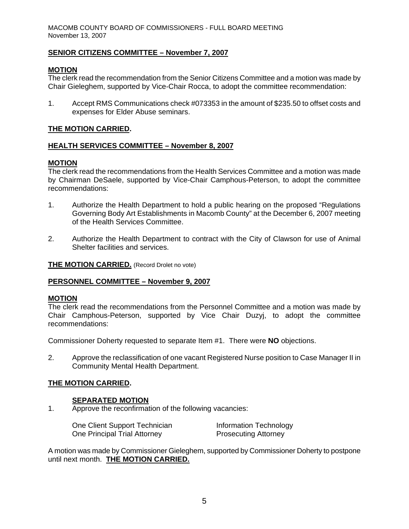### **SENIOR CITIZENS COMMITTEE – November 7, 2007**

### **MOTION**

The clerk read the recommendation from the Senior Citizens Committee and a motion was made by Chair Gieleghem, supported by Vice-Chair Rocca, to adopt the committee recommendation:

1. Accept RMS Communications check #073353 in the amount of \$235.50 to offset costs and expenses for Elder Abuse seminars.

### **THE MOTION CARRIED.**

#### **HEALTH SERVICES COMMITTEE – November 8, 2007**

#### **MOTION**

The clerk read the recommendations from the Health Services Committee and a motion was made by Chairman DeSaele, supported by Vice-Chair Camphous-Peterson, to adopt the committee recommendations:

- 1. Authorize the Health Department to hold a public hearing on the proposed "Regulations Governing Body Art Establishments in Macomb County" at the December 6, 2007 meeting of the Health Services Committee.
- 2. Authorize the Health Department to contract with the City of Clawson for use of Animal Shelter facilities and services.

#### **THE MOTION CARRIED.** (Record Drolet no vote)

#### **PERSONNEL COMMITTEE – November 9, 2007**

#### **MOTION**

The clerk read the recommendations from the Personnel Committee and a motion was made by Chair Camphous-Peterson, supported by Vice Chair Duzyj, to adopt the committee recommendations:

Commissioner Doherty requested to separate Item #1. There were **NO** objections.

2. Approve the reclassification of one vacant Registered Nurse position to Case Manager II in Community Mental Health Department.

### **THE MOTION CARRIED.**

#### **SEPARATED MOTION**

1. Approve the reconfirmation of the following vacancies:

| One Client Support Technician | Information Technology      |
|-------------------------------|-----------------------------|
| One Principal Trial Attorney  | <b>Prosecuting Attorney</b> |

A motion was made by Commissioner Gieleghem, supported by Commissioner Doherty to postpone until next month. **THE MOTION CARRIED.**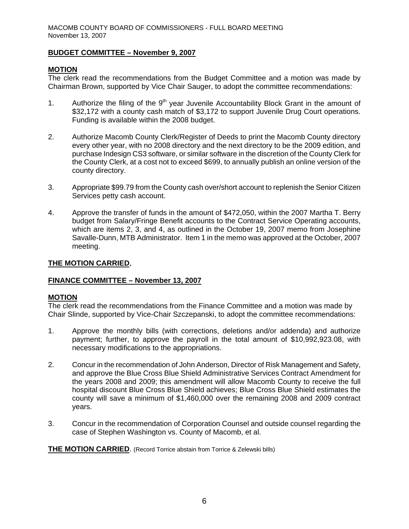### **BUDGET COMMITTEE – November 9, 2007**

# **MOTION**

The clerk read the recommendations from the Budget Committee and a motion was made by Chairman Brown, supported by Vice Chair Sauger, to adopt the committee recommendations:

- 1. Authorize the filing of the  $9<sup>th</sup>$  year Juvenile Accountability Block Grant in the amount of \$32,172 with a county cash match of \$3,172 to support Juvenile Drug Court operations. Funding is available within the 2008 budget.
- 2. Authorize Macomb County Clerk/Register of Deeds to print the Macomb County directory every other year, with no 2008 directory and the next directory to be the 2009 edition, and purchase Indesign CS3 software, or similar software in the discretion of the County Clerk for the County Clerk, at a cost not to exceed \$699, to annually publish an online version of the county directory.
- 3. Appropriate \$99.79 from the County cash over/short account to replenish the Senior Citizen Services petty cash account.
- 4. Approve the transfer of funds in the amount of \$472,050, within the 2007 Martha T. Berry budget from Salary/Fringe Benefit accounts to the Contract Service Operating accounts, which are items 2, 3, and 4, as outlined in the October 19, 2007 memo from Josephine Savalle-Dunn, MTB Administrator. Item 1 in the memo was approved at the October, 2007 meeting.

#### **THE MOTION CARRIED.**

### **FINANCE COMMITTEE – November 13, 2007**

### **MOTION**

The clerk read the recommendations from the Finance Committee and a motion was made by Chair Slinde, supported by Vice-Chair Szczepanski, to adopt the committee recommendations:

- 1. Approve the monthly bills (with corrections, deletions and/or addenda) and authorize payment; further, to approve the payroll in the total amount of \$10,992,923.08, with necessary modifications to the appropriations.
- 2. Concur in the recommendation of John Anderson, Director of Risk Management and Safety, and approve the Blue Cross Blue Shield Administrative Services Contract Amendment for the years 2008 and 2009; this amendment will allow Macomb County to receive the full hospital discount Blue Cross Blue Shield achieves; Blue Cross Blue Shield estimates the county will save a minimum of \$1,460,000 over the remaining 2008 and 2009 contract years.
- 3. Concur in the recommendation of Corporation Counsel and outside counsel regarding the case of Stephen Washington vs. County of Macomb, et al.

**THE MOTION CARRIED**. (Record Torrice abstain from Torrice & Zelewski bills)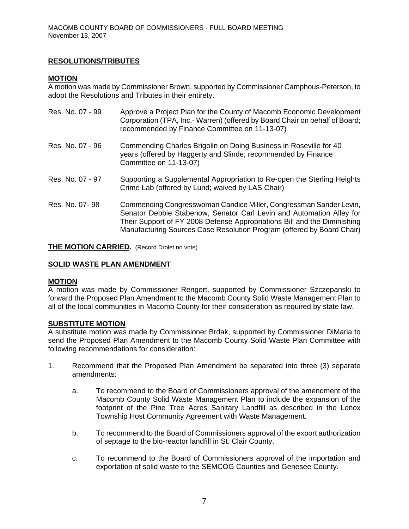# **RESOLUTIONS/TRIBUTES**

#### **MOTION**

A motion was made by Commissioner Brown, supported by Commissioner Camphous-Peterson, to adopt the Resolutions and Tributes in their entirety.

| Res. No. 07 - 99 | Approve a Project Plan for the County of Macomb Economic Development<br>Corporation (TPA, Inc.- Warren) (offered by Board Chair on behalf of Board;<br>recommended by Finance Committee on 11-13-07)                                                                                             |
|------------------|--------------------------------------------------------------------------------------------------------------------------------------------------------------------------------------------------------------------------------------------------------------------------------------------------|
| Res. No. 07 - 96 | Commending Charles Brigolin on Doing Business in Roseville for 40<br>years (offered by Haggerty and Slinde; recommended by Finance<br>Committee on 11-13-07)                                                                                                                                     |
| Res. No. 07 - 97 | Supporting a Supplemental Appropriation to Re-open the Sterling Heights<br>Crime Lab (offered by Lund; waived by LAS Chair)                                                                                                                                                                      |
| Res. No. 07-98   | Commending Congresswoman Candice Miller, Congressman Sander Levin,<br>Senator Debbie Stabenow, Senator Carl Levin and Automation Alley for<br>Their Support of FY 2008 Defense Appropriations Bill and the Diminishing<br>Manufacturing Sources Case Resolution Program (offered by Board Chair) |

**THE MOTION CARRIED.** (Record Drolet no vote)

### **SOLID WASTE PLAN AMENDMENT**

#### **MOTION**

A motion was made by Commissioner Rengert, supported by Commissioner Szczepanski to forward the Proposed Plan Amendment to the Macomb County Solid Waste Management Plan to all of the local communities in Macomb County for their consideration as required by state law.

#### **SUBSTITUTE MOTION**

A substitute motion was made by Commissioner Brdak, supported by Commissioner DiMaria to send the Proposed Plan Amendment to the Macomb County Solid Waste Plan Committee with following recommendations for consideration:

- 1. Recommend that the Proposed Plan Amendment be separated into three (3) separate amendments:
	- a. To recommend to the Board of Commissioners approval of the amendment of the Macomb County Solid Waste Management Plan to include the expansion of the footprint of the Pine Tree Acres Sanitary Landfill as described in the Lenox Township Host Community Agreement with Waste Management.
	- b. To recommend to the Board of Commissioners approval of the export authorization of septage to the bio-reactor landfill in St. Clair County.
	- c. To recommend to the Board of Commissioners approval of the importation and exportation of solid waste to the SEMCOG Counties and Genesee County.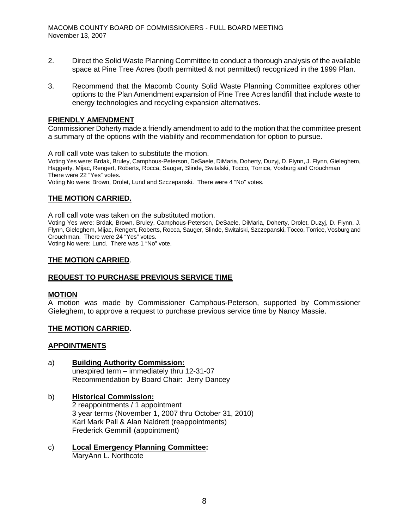- 2. Direct the Solid Waste Planning Committee to conduct a thorough analysis of the available space at Pine Tree Acres (both permitted & not permitted) recognized in the 1999 Plan.
- 3. Recommend that the Macomb County Solid Waste Planning Committee explores other options to the Plan Amendment expansion of Pine Tree Acres landfill that include waste to energy technologies and recycling expansion alternatives.

#### **FRIENDLY AMENDMENT**

Commissioner Doherty made a friendly amendment to add to the motion that the committee present a summary of the options with the viability and recommendation for option to pursue.

A roll call vote was taken to substitute the motion.

Voting Yes were: Brdak, Bruley, Camphous-Peterson, DeSaele, DiMaria, Doherty, Duzyj, D. Flynn, J. Flynn, Gieleghem, Haggerty, Mijac, Rengert, Roberts, Rocca, Sauger, Slinde, Switalski, Tocco, Torrice, Vosburg and Crouchman There were 22 "Yes" votes.

Voting No were: Brown, Drolet, Lund and Szczepanski. There were 4 "No" votes.

### **THE MOTION CARRIED.**

A roll call vote was taken on the substituted motion.

Voting Yes were: Brdak, Brown, Bruley, Camphous-Peterson, DeSaele, DiMaria, Doherty, Drolet, Duzyj, D. Flynn, J. Flynn, Gieleghem, Mijac, Rengert, Roberts, Rocca, Sauger, Slinde, Switalski, Szczepanski, Tocco, Torrice, Vosburg and Crouchman. There were 24 "Yes" votes.

Voting No were: Lund. There was 1 "No" vote.

#### **THE MOTION CARRIED**.

### **REQUEST TO PURCHASE PREVIOUS SERVICE TIME**

#### **MOTION**

A motion was made by Commissioner Camphous-Peterson, supported by Commissioner Gieleghem, to approve a request to purchase previous service time by Nancy Massie.

### **THE MOTION CARRIED.**

#### **APPOINTMENTS**

- a) **Building Authority Commission:** unexpired term – immediately thru 12-31-07 Recommendation by Board Chair: Jerry Dancey
- b) **Historical Commission:** 2 reappointments / 1 appointment 3 year terms (November 1, 2007 thru October 31, 2010) Karl Mark Pall & Alan Naldrett (reappointments) Frederick Gemmill (appointment)
- c) **Local Emergency Planning Committee:**  MaryAnn L. Northcote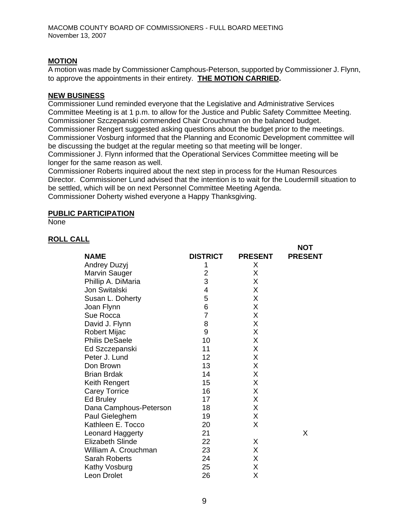# **MOTION**

A motion was made by Commissioner Camphous-Peterson, supported by Commissioner J. Flynn, to approve the appointments in their entirety. **THE MOTION CARRIED.** 

### **NEW BUSINESS**

Commissioner Lund reminded everyone that the Legislative and Administrative Services Committee Meeting is at 1 p.m. to allow for the Justice and Public Safety Committee Meeting. Commissioner Szczepanski commended Chair Crouchman on the balanced budget. Commissioner Rengert suggested asking questions about the budget prior to the meetings. Commissioner Vosburg informed that the Planning and Economic Development committee will be discussing the budget at the regular meeting so that meeting will be longer.

Commissioner J. Flynn informed that the Operational Services Committee meeting will be longer for the same reason as well.

Commissioner Roberts inquired about the next step in process for the Human Resources Director. Commissioner Lund advised that the intention is to wait for the Loudermill situation to be settled, which will be on next Personnel Committee Meeting Agenda. Commissioner Doherty wished everyone a Happy Thanksgiving.

**NOT** 

#### **PUBLIC PARTICIPATION**

None

### **ROLL CALL**

|                         |                 |                | ו שצו          |
|-------------------------|-----------------|----------------|----------------|
| <b>NAME</b>             | <b>DISTRICT</b> | <b>PRESENT</b> | <b>PRESENT</b> |
| <b>Andrey Duzyj</b>     | 1               | Χ              |                |
| <b>Marvin Sauger</b>    | 2               | Х              |                |
| Phillip A. DiMaria      | 3               | Χ              |                |
| Jon Switalski           | 4               | X              |                |
| Susan L. Doherty        | 5               | Χ              |                |
| Joan Flynn              | 6               | X              |                |
| Sue Rocca               | 7               | X              |                |
| David J. Flynn          | 8               | X              |                |
| Robert Mijac            | 9               | Χ              |                |
| <b>Philis DeSaele</b>   | 10              | X              |                |
| Ed Szczepanski          | 11              | Χ              |                |
| Peter J. Lund           | 12              | X              |                |
| Don Brown               | 13              | Χ              |                |
| <b>Brian Brdak</b>      | 14              | Χ              |                |
| Keith Rengert           | 15              | X              |                |
| <b>Carey Torrice</b>    | 16              | X              |                |
| Ed Bruley               | 17              | X              |                |
| Dana Camphous-Peterson  | 18              | X              |                |
| Paul Gieleghem          | 19              | X              |                |
| Kathleen E. Tocco       | 20              | X              |                |
| Leonard Haggerty        | 21              |                | X              |
| <b>Elizabeth Slinde</b> | 22              | X              |                |
| William A. Crouchman    | 23              | X              |                |
| <b>Sarah Roberts</b>    | 24              | X              |                |
| Kathy Vosburg           | 25              | Χ              |                |
| Leon Drolet             | 26              | Χ              |                |